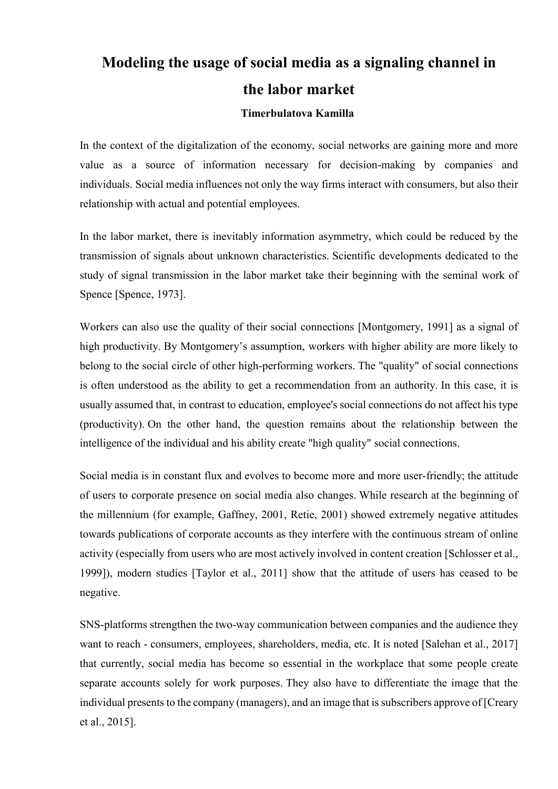## **Modeling the usage of social media as a signaling channel in the labor market**

## **Timerbulatova Kamilla**

In the context of the digitalization of the economy, social networks are gaining more and more value as a source of information necessary for decision-making by companies and individuals. Social media influences not only the way firms interact with consumers, but also their relationship with actual and potential employees.

In the labor market, there is inevitably information asymmetry, which could be reduced by the transmission of signals about unknown characteristics. Scientific developments dedicated to the study of signal transmission in the labor market take their beginning with the seminal work of Spence [Spence, 1973].

Workers can also use the quality of their social connections [Montgomery, 1991] as a signal of high productivity. By Montgomery's assumption, workers with higher ability are more likely to belong to the social circle of other high-performing workers. The "quality" of social connections is often understood as the ability to get a recommendation from an authority. In this case, it is usually assumed that, in contrast to education, employee's social connections do not affect his type (productivity). On the other hand, the question remains about the relationship between the intelligence of the individual and his ability create "high quality" social connections.

Social media is in constant flux and evolves to become more and more user-friendly; the attitude of users to corporate presence on social media also changes. While research at the beginning of the millennium (for example, Gaffney, 2001, Retie, 2001) showed extremely negative attitudes towards publications of corporate accounts as they interfere with the continuous stream of online activity (especially from users who are most actively involved in content creation [Schlosser et al., 1999]), modern studies [Taylor et al., 2011] show that the attitude of users has ceased to be negative.

SNS-platforms strengthen the two-way communication between companies and the audience they want to reach - consumers, employees, shareholders, media, etc. It is noted [Salehan et al., 2017] that currently, social media has become so essential in the workplace that some people create separate accounts solely for work purposes. They also have to differentiate the image that the individual presents to the company (managers), and an image that is subscribers approve of [Creary et al., 2015].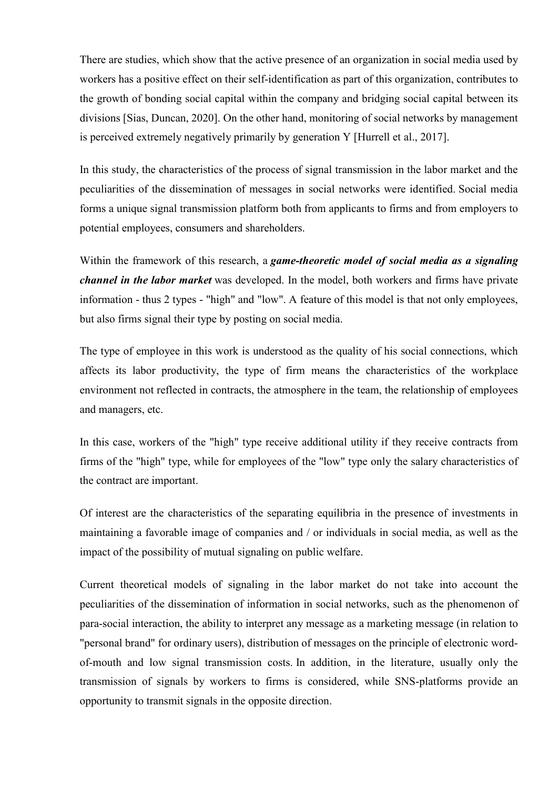There are studies, which show that the active presence of an organization in social media used by workers has a positive effect on their self-identification as part of this organization, contributes to the growth of bonding social capital within the company and bridging social capital between its divisions [Sias, Duncan, 2020]. On the other hand, monitoring of social networks by management is perceived extremely negatively primarily by generation Y [Hurrell et al., 2017].

In this study, the characteristics of the process of signal transmission in the labor market and the peculiarities of the dissemination of messages in social networks were identified. Social media forms a unique signal transmission platform both from applicants to firms and from employers to potential employees, consumers and shareholders.

Within the framework of this research, a *game-theoretic model of social media as a signaling channel in the labor market* was developed. In the model, both workers and firms have private information - thus 2 types - "high" and "low". A feature of this model is that not only employees, but also firms signal their type by posting on social media.

The type of employee in this work is understood as the quality of his social connections, which affects its labor productivity, the type of firm means the characteristics of the workplace environment not reflected in contracts, the atmosphere in the team, the relationship of employees and managers, etc.

In this case, workers of the "high" type receive additional utility if they receive contracts from firms of the "high" type, while for employees of the "low" type only the salary characteristics of the contract are important.

Of interest are the characteristics of the separating equilibria in the presence of investments in maintaining a favorable image of companies and / or individuals in social media, as well as the impact of the possibility of mutual signaling on public welfare.

Current theoretical models of signaling in the labor market do not take into account the peculiarities of the dissemination of information in social networks, such as the phenomenon of para-social interaction, the ability to interpret any message as a marketing message (in relation to "personal brand" for ordinary users), distribution of messages on the principle of electronic wordof-mouth and low signal transmission costs. In addition, in the literature, usually only the transmission of signals by workers to firms is considered, while SNS-platforms provide an opportunity to transmit signals in the opposite direction.